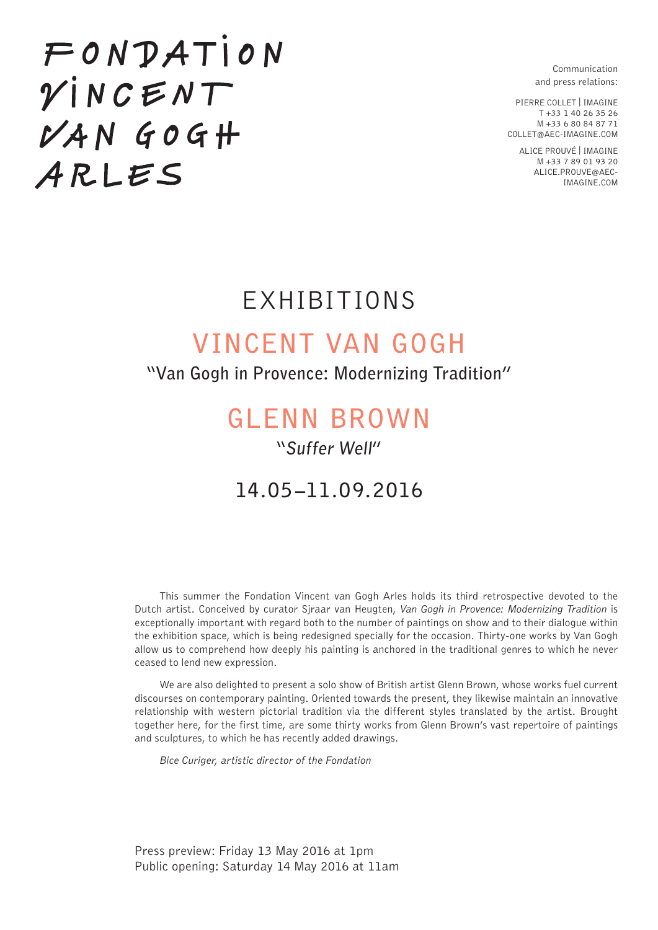Communication and press relations:

PIERRE COLLET | IMAGINE T +33 1 40 26 35 26 M +33 6 80 84 87 71 COLLET@AEC-IMAGINE.COM

> ALICE PROUVÉ | IMAGINE M +33 7 89 01 93 20 ALICE.PROUVE@AEC-IMAGINE.COM

# $FONPATH$  $VINCENT$  $VANGOGH$ ARLES

## EXHIBITIONS

## **VINCENT VAN GOGH**

### **"Van Gogh in Provence: Modernizing Tradition"**

## **GLENN BROWN**

### **"Suffer Well"**

## **14.05–11.09.2016**

This summer the Fondation Vincent van Gogh Arles holds its third retrospective devoted to the Dutch artist. Conceived by curator Sjraar van Heugten, *Van Gogh in Provence: Modernizing Tradition* is exceptionally important with regard both to the number of paintings on show and to their dialogue within the exhibition space, which is being redesigned specially for the occasion. Thirty-one works by Van Gogh allow us to comprehend how deeply his painting is anchored in the traditional genres to which he never ceased to lend new expression.

We are also delighted to present a solo show of British artist Glenn Brown, whose works fuel current discourses on contemporary painting. Oriented towards the present, they likewise maintain an innovative relationship with western pictorial tradition via the different styles translated by the artist. Brought together here, for the first time, are some thirty works from Glenn Brown's vast repertoire of paintings and sculptures, to which he has recently added drawings.

*Bice Curiger, artistic director of the Fondation*

Press preview: Friday 13 May 2016 at 1pm Public opening: Saturday 14 May 2016 at 11am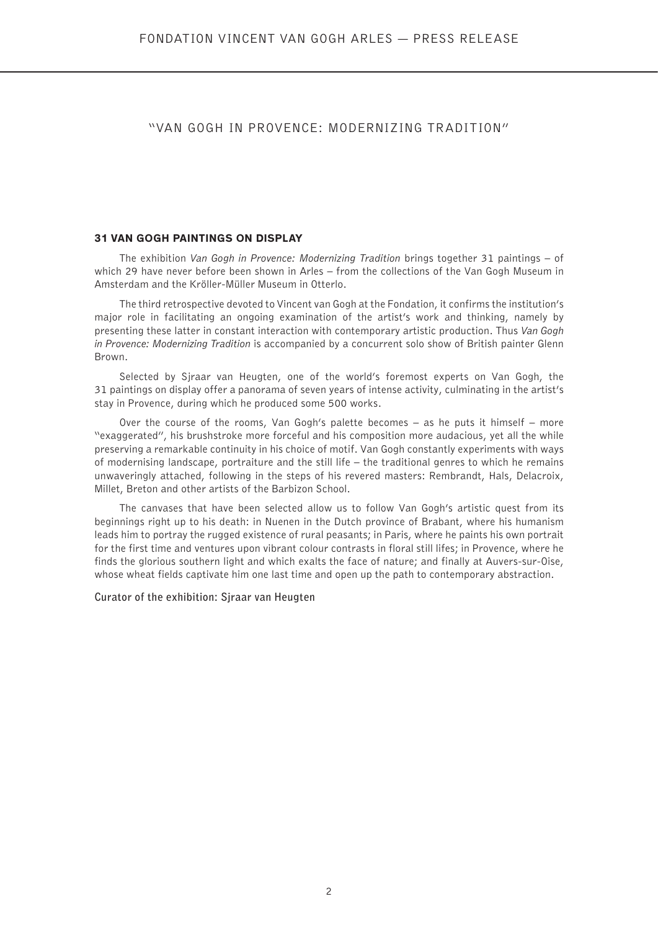#### "VAN GOGH IN PROVENCE: MODERNIZING TRADITION"

#### **31 VAN GOGH PAINTINGS ON DISPLAY**

The exhibition *Van Gogh in Provence: Modernizing Tradition* brings together 31 paintings – of which 29 have never before been shown in Arles – from the collections of the Van Gogh Museum in Amsterdam and the Kröller-Müller Museum in Otterlo.

The third retrospective devoted to Vincent van Gogh at the Fondation, it confirms the institution's major role in facilitating an ongoing examination of the artist's work and thinking, namely by presenting these latter in constant interaction with contemporary artistic production. Thus *Van Gogh in Provence: Modernizing Tradition* is accompanied by a concurrent solo show of British painter Glenn Brown.

Selected by Sjraar van Heugten, one of the world's foremost experts on Van Gogh, the 31 paintings on display offer a panorama of seven years of intense activity, culminating in the artist's stay in Provence, during which he produced some 500 works.

Over the course of the rooms, Van Gogh's palette becomes – as he puts it himself – more "exaggerated", his brushstroke more forceful and his composition more audacious, yet all the while preserving a remarkable continuity in his choice of motif. Van Gogh constantly experiments with ways of modernising landscape, portraiture and the still life – the traditional genres to which he remains unwaveringly attached, following in the steps of his revered masters: Rembrandt, Hals, Delacroix, Millet, Breton and other artists of the Barbizon School.

The canvases that have been selected allow us to follow Van Gogh's artistic quest from its beginnings right up to his death: in Nuenen in the Dutch province of Brabant, where his humanism leads him to portray the rugged existence of rural peasants; in Paris, where he paints his own portrait for the first time and ventures upon vibrant colour contrasts in floral still lifes; in Provence, where he finds the glorious southern light and which exalts the face of nature; and finally at Auvers-sur-Oise, whose wheat fields captivate him one last time and open up the path to contemporary abstraction.

#### **Curator of the exhibition: Sjraar van Heugten**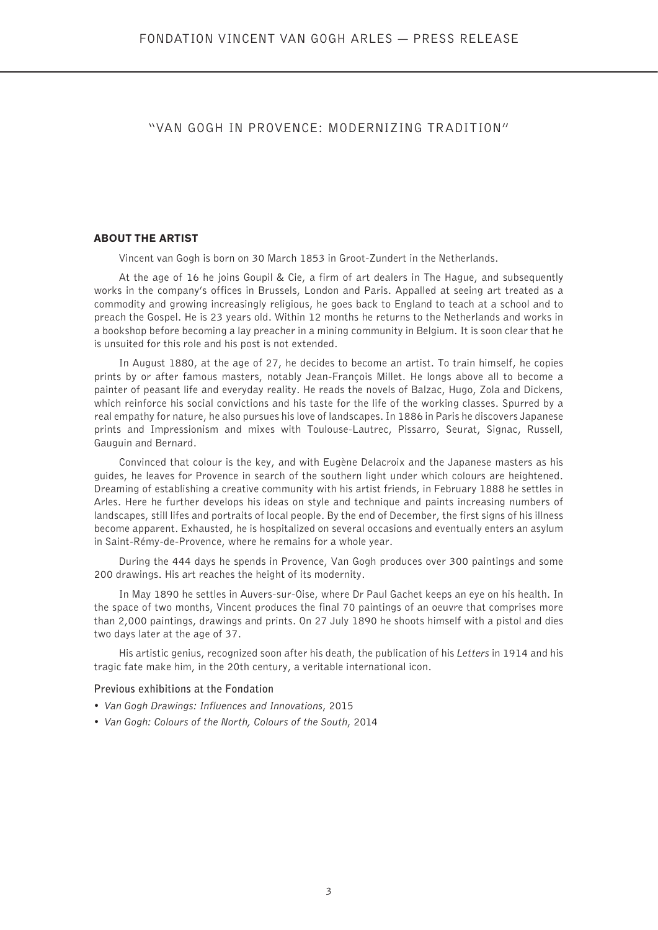#### "VAN GOGH IN PROVENCE: MODERNIZING TRADITION"

#### **ABOUT THE ARTIST**

Vincent van Gogh is born on 30 March 1853 in Groot-Zundert in the Netherlands.

At the age of 16 he joins Goupil & Cie, a firm of art dealers in The Hague, and subsequently works in the company's offices in Brussels, London and Paris. Appalled at seeing art treated as a commodity and growing increasingly religious, he goes back to England to teach at a school and to preach the Gospel. He is 23 years old. Within 12 months he returns to the Netherlands and works in a bookshop before becoming a lay preacher in a mining community in Belgium. It is soon clear that he is unsuited for this role and his post is not extended.

In August 1880, at the age of 27, he decides to become an artist. To train himself, he copies prints by or after famous masters, notably Jean-François Millet. He longs above all to become a painter of peasant life and everyday reality. He reads the novels of Balzac, Hugo, Zola and Dickens, which reinforce his social convictions and his taste for the life of the working classes. Spurred by a real empathy for nature, he also pursues his love of landscapes. In 1886 in Paris he discovers Japanese prints and Impressionism and mixes with Toulouse-Lautrec, Pissarro, Seurat, Signac, Russell, Gauguin and Bernard.

Convinced that colour is the key, and with Eugène Delacroix and the Japanese masters as his guides, he leaves for Provence in search of the southern light under which colours are heightened. Dreaming of establishing a creative community with his artist friends, in February 1888 he settles in Arles. Here he further develops his ideas on style and technique and paints increasing numbers of landscapes, still lifes and portraits of local people. By the end of December, the first signs of his illness become apparent. Exhausted, he is hospitalized on several occasions and eventually enters an asylum in Saint-Rémy-de-Provence, where he remains for a whole year.

During the 444 days he spends in Provence, Van Gogh produces over 300 paintings and some 200 drawings. His art reaches the height of its modernity.

In May 1890 he settles in Auvers-sur-Oise, where Dr Paul Gachet keeps an eye on his health. In the space of two months, Vincent produces the final 70 paintings of an oeuvre that comprises more than 2,000 paintings, drawings and prints. On 27 July 1890 he shoots himself with a pistol and dies two days later at the age of 37.

His artistic genius, recognized soon after his death, the publication of his *Letters* in 1914 and his tragic fate make him, in the 20th century, a veritable international icon.

#### **Previous exhibitions at the Fondation**

- *Van Gogh Drawings: Influences and Innovations*, 2015
- *Van Gogh: Colours of the North, Colours of the South*, 2014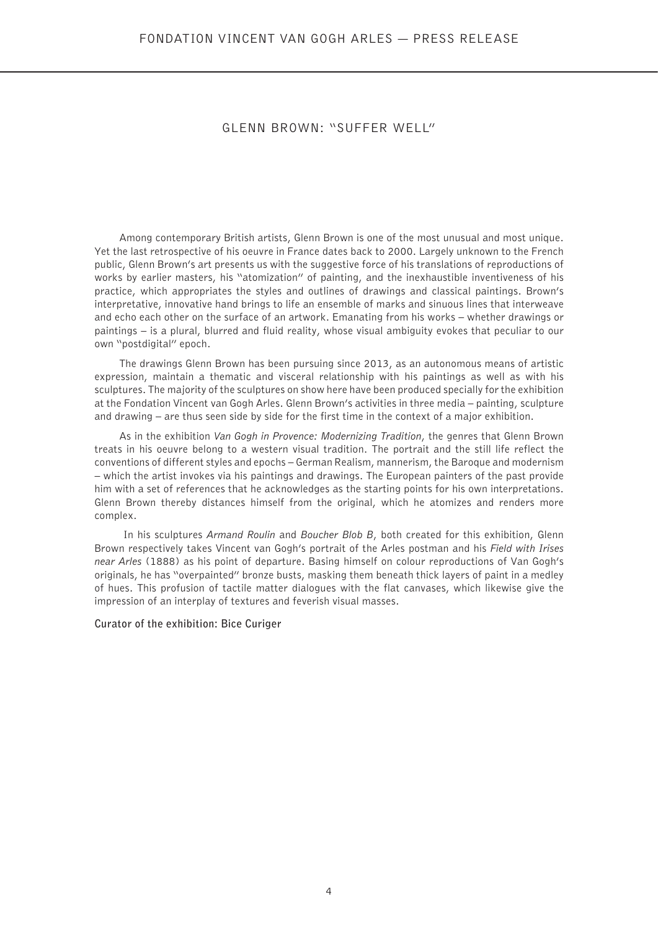#### GLENN BROWN: "SUFFER WELL"

Among contemporary British artists, Glenn Brown is one of the most unusual and most unique. Yet the last retrospective of his oeuvre in France dates back to 2000. Largely unknown to the French public, Glenn Brown's art presents us with the suggestive force of his translations of reproductions of works by earlier masters, his "atomization" of painting, and the inexhaustible inventiveness of his practice, which appropriates the styles and outlines of drawings and classical paintings. Brown's interpretative, innovative hand brings to life an ensemble of marks and sinuous lines that interweave and echo each other on the surface of an artwork. Emanating from his works – whether drawings or paintings – is a plural, blurred and fluid reality, whose visual ambiguity evokes that peculiar to our own "postdigital" epoch.

The drawings Glenn Brown has been pursuing since 2013, as an autonomous means of artistic expression, maintain a thematic and visceral relationship with his paintings as well as with his sculptures. The majority of the sculptures on show here have been produced specially for the exhibition at the Fondation Vincent van Gogh Arles. Glenn Brown's activities in three media – painting, sculpture and drawing – are thus seen side by side for the first time in the context of a major exhibition.

As in the exhibition *Van Gogh in Provence: Modernizing Tradition*, the genres that Glenn Brown treats in his oeuvre belong to a western visual tradition. The portrait and the still life reflect the conventions of different styles and epochs – German Realism, mannerism, the Baroque and modernism – which the artist invokes via his paintings and drawings. The European painters of the past provide him with a set of references that he acknowledges as the starting points for his own interpretations. Glenn Brown thereby distances himself from the original, which he atomizes and renders more complex.

 In his sculptures *Armand Roulin* and *Boucher Blob B*, both created for this exhibition, Glenn Brown respectively takes Vincent van Gogh's portrait of the Arles postman and his *Field with Irises near Arles* (1888) as his point of departure. Basing himself on colour reproductions of Van Gogh's originals, he has "overpainted" bronze busts, masking them beneath thick layers of paint in a medley of hues. This profusion of tactile matter dialogues with the flat canvases, which likewise give the impression of an interplay of textures and feverish visual masses.

**Curator of the exhibition: Bice Curiger**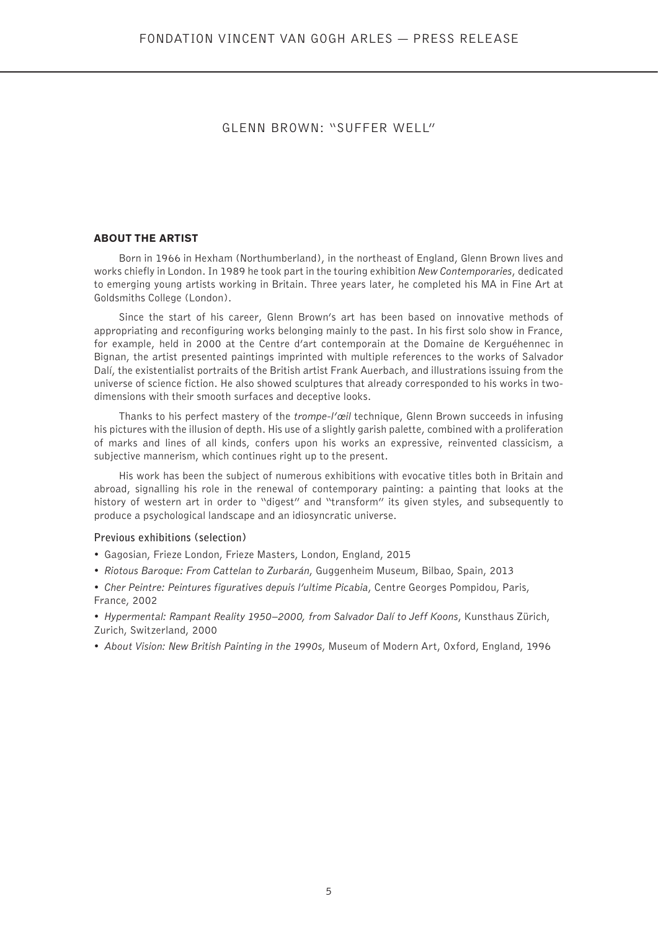#### GLENN BROWN: "SUFFER WELL"

#### **ABOUT THE ARTIST**

Born in 1966 in Hexham (Northumberland), in the northeast of England, Glenn Brown lives and works chiefly in London. In 1989 he took part in the touring exhibition *New Contemporaries*, dedicated to emerging young artists working in Britain. Three years later, he completed his MA in Fine Art at Goldsmiths College (London).

Since the start of his career, Glenn Brown's art has been based on innovative methods of appropriating and reconfiguring works belonging mainly to the past. In his first solo show in France, for example, held in 2000 at the Centre d'art contemporain at the Domaine de Kerguéhennec in Bignan, the artist presented paintings imprinted with multiple references to the works of Salvador Dalí, the existentialist portraits of the British artist Frank Auerbach, and illustrations issuing from the universe of science fiction. He also showed sculptures that already corresponded to his works in twodimensions with their smooth surfaces and deceptive looks.

Thanks to his perfect mastery of the *trompe-l'œil* technique, Glenn Brown succeeds in infusing his pictures with the illusion of depth. His use of a slightly garish palette, combined with a proliferation of marks and lines of all kinds, confers upon his works an expressive, reinvented classicism, a subiective mannerism, which continues right up to the present.

His work has been the subject of numerous exhibitions with evocative titles both in Britain and abroad, signalling his role in the renewal of contemporary painting: a painting that looks at the history of western art in order to "digest" and "transform" its given styles, and subsequently to produce a psychological landscape and an idiosyncratic universe.

#### **Previous exhibitions (selection)**

- Gagosian, Frieze London, Frieze Masters, London, England, 2015
- *Riotous Baroque: From Cattelan to Zurbarán*, Guggenheim Museum, Bilbao, Spain, 2013
- *Cher Peintre: Peintures figuratives depuis l'ultime Picabia*, Centre Georges Pompidou, Paris, France, 2002
- *Hypermental: Rampant Reality 1950–2000, from Salvador Dalí to Jeff Koons*, Kunsthaus Zürich, Zurich, Switzerland, 2000
- *About Vision: New British Painting in the 1990s*, Museum of Modern Art, Oxford, England, 1996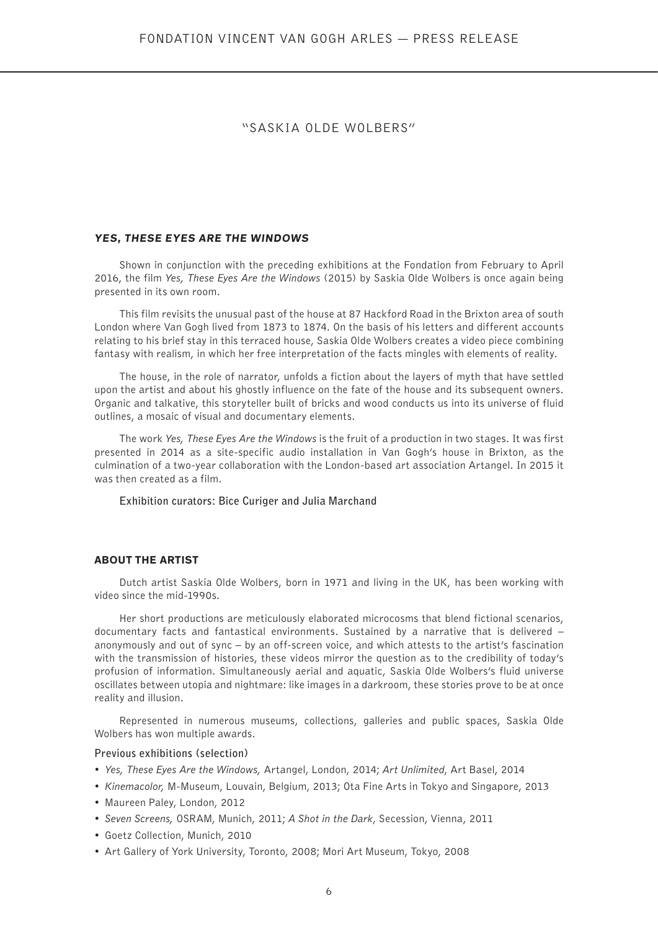#### "SASKIA OLDE WOLBERS"

#### **YES, THESE EYES ARE THE WINDOWS**

Shown in conjunction with the preceding exhibitions at the Fondation from February to April 2016, the film *Yes, These Eyes Are the Windows* (2015) by Saskia Olde Wolbers is once again being presented in its own room.

This film revisits the unusual past of the house at 87 Hackford Road in the Brixton area of south London where Van Gogh lived from 1873 to 1874. On the basis of his letters and different accounts relating to his brief stay in this terraced house, Saskia Olde Wolbers creates a video piece combining fantasy with realism, in which her free interpretation of the facts mingles with elements of reality.

The house, in the role of narrator, unfolds a fiction about the layers of myth that have settled upon the artist and about his ghostly influence on the fate of the house and its subsequent owners. Organic and talkative, this storyteller built of bricks and wood conducts us into its universe of fluid outlines, a mosaic of visual and documentary elements.

The work *Yes, These Eyes Are the Windows* is the fruit of a production in two stages. It was first presented in 2014 as a site-specific audio installation in Van Gogh's house in Brixton, as the culmination of a two-year collaboration with the London-based art association Artangel. In 2015 it was then created as a film.

**Exhibition curators: Bice Curiger and Julia Marchand**

#### **ABOUT THE ARTIST**

Dutch artist Saskia Olde Wolbers, born in 1971 and living in the UK, has been working with video since the mid-1990s.

Her short productions are meticulously elaborated microcosms that blend fictional scenarios, documentary facts and fantastical environments. Sustained by a narrative that is delivered – anonymously and out of sync – by an off-screen voice, and which attests to the artist's fascination with the transmission of histories, these videos mirror the question as to the credibility of today's profusion of information. Simultaneously aerial and aquatic, Saskia Olde Wolbers's fluid universe oscillates between utopia and nightmare: like images in a darkroom, these stories prove to be at once reality and illusion.

Represented in numerous museums, collections, galleries and public spaces, Saskia Olde Wolbers has won multiple awards.

#### **Previous exhibitions (selection)**

- *Yes, These Eyes Are the Windows,* Artangel, London, 2014; *Art Unlimited*, Art Basel, 2014
- *Kinemacolor,* M-Museum, Louvain, Belgium, 2013; Ota Fine Arts in Tokyo and Singapore, 2013
- Maureen Paley, London, 2012
- *Seven Screens,* OSRAM, Munich, 2011; *A Shot in the Dark*, Secession, Vienna, 2011
- Goetz Collection, Munich, 2010
- Art Gallery of York University, Toronto, 2008; Mori Art Museum, Tokyo, 2008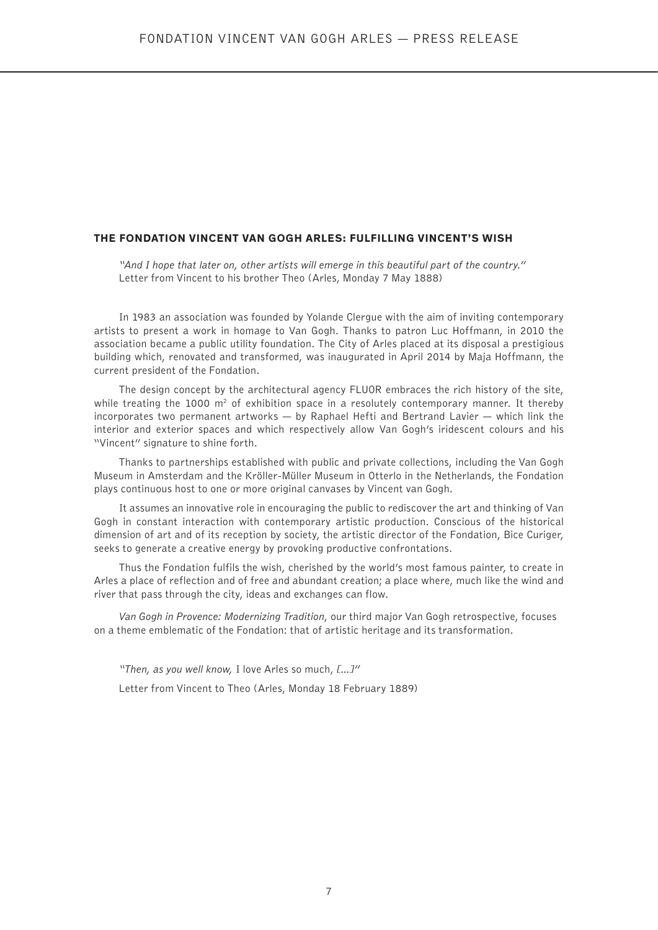#### **THE FONDATION VINCENT VAN GOGH ARLES: FULFILLING VINCENT'S WISH**

*"And I hope that later on, other artists will emerge in this beautiful part of the country."* Letter from Vincent to his brother Theo (Arles, Monday 7 May 1888)

In 1983 an association was founded by Yolande Clergue with the aim of inviting contemporary artists to present a work in homage to Van Gogh. Thanks to patron Luc Hoffmann, in 2010 the association became a public utility foundation. The City of Arles placed at its disposal a prestigious building which, renovated and transformed, was inaugurated in April 2014 by Maja Hoffmann, the current president of the Fondation.

The design concept by the architectural agency FLUOR embraces the rich history of the site, while treating the 1000  $m^2$  of exhibition space in a resolutely contemporary manner. It thereby incorporates two permanent artworks — by Raphael Hefti and Bertrand Lavier — which link the interior and exterior spaces and which respectively allow Van Gogh's iridescent colours and his "Vincent" signature to shine forth.

Thanks to partnerships established with public and private collections, including the Van Gogh Museum in Amsterdam and the Kröller-Müller Museum in Otterlo in the Netherlands, the Fondation plays continuous host to one or more original canvases by Vincent van Gogh.

It assumes an innovative role in encouraging the public to rediscover the art and thinking of Van Gogh in constant interaction with contemporary artistic production. Conscious of the historical dimension of art and of its reception by society, the artistic director of the Fondation, Bice Curiger, seeks to generate a creative energy by provoking productive confrontations.

Thus the Fondation fulfils the wish, cherished by the world's most famous painter, to create in Arles a place of reflection and of free and abundant creation; a place where, much like the wind and river that pass through the city, ideas and exchanges can flow.

*Van Gogh in Provence: Modernizing Tradition*, our third major Van Gogh retrospective, focuses on a theme emblematic of the Fondation: that of artistic heritage and its transformation.

*"Then, as you well know,* I love Arles so much, *[…]"*

Letter from Vincent to Theo (Arles, Monday 18 February 1889)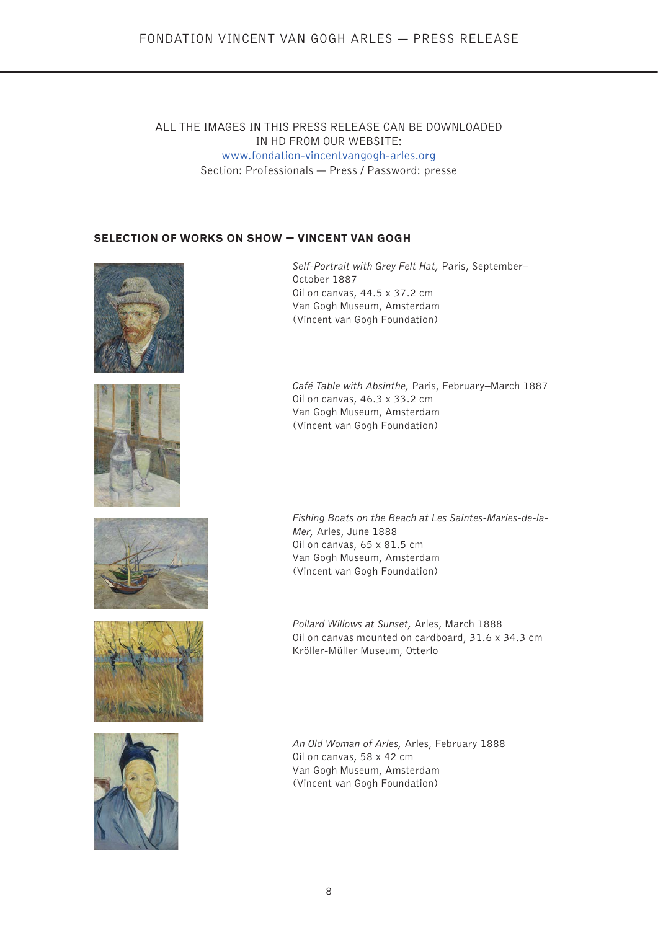#### ALL THE IMAGES IN THIS PRESS RELEASE CAN BE DOWNLOADED IN HD FROM OUR WEBSITE: www.fondation-vincentvangogh-arles.org Section: Professionals — Press / Password: presse

#### **SELECTION OF WORKS ON SHOW — VINCENT VAN GOGH**





*Self-Portrait with Grey Felt Hat,* Paris, September– October 1887 Oil on canvas, 44.5 x 37.2 cm Van Gogh Museum, Amsterdam (Vincent van Gogh Foundation)

*Café Table with Absinthe,* Paris, February–March 1887 Oil on canvas, 46.3 x 33.2 cm Van Gogh Museum, Amsterdam (Vincent van Gogh Foundation)







*Fishing Boats on the Beach at Les Saintes-Maries-de-la-Mer,* Arles, June 1888 Oil on canvas, 65 x 81.5 cm Van Gogh Museum, Amsterdam (Vincent van Gogh Foundation)

*Pollard Willows at Sunset,* Arles, March 1888 Oil on canvas mounted on cardboard, 31.6 x 34.3 cm Kröller-Müller Museum, Otterlo

*An Old Woman of Arles,* Arles, February 1888 Oil on canvas, 58 x 42 cm Van Gogh Museum, Amsterdam (Vincent van Gogh Foundation)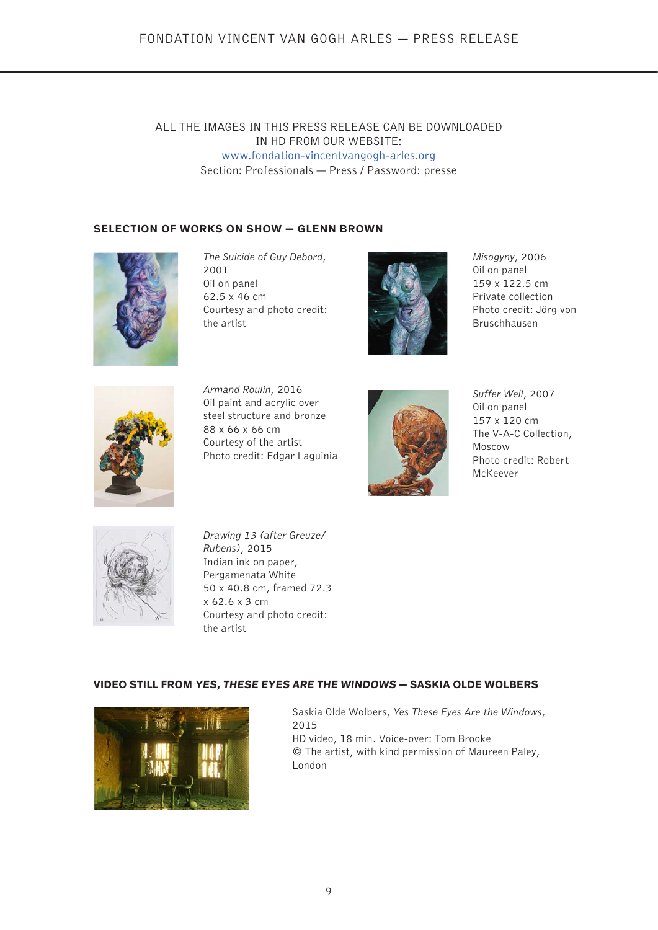#### ALL THE IMAGES IN THIS PRESS RELEASE CAN BE DOWNLOADED IN HD FROM OUR WEBSITE: www.fondation-vincentvangogh-arles.org Section: Professionals — Press / Password: presse

#### **SELECTION OF WORKS ON SHOW — GLENN BROWN**



*The Suicide of Guy Debord*, 2001 Oil on panel 62.5 x 46 cm Courtesy and photo credit: the artist



*Misogyny*, 2006 Oil on panel 159 x 122.5 cm Private collection Photo credit: Jörg von Bruschhausen



*Armand Roulin*, 2016 Oil paint and acrylic over steel structure and bronze 88 x 66 x 66 cm Courtesy of the artist Photo credit: Edgar Laguinia



*Suffer Well*, 2007 Oil on panel 157 x 120 cm The V-A-C Collection, Moscow Photo credit: Robert McKeever



*Drawing 13 (after Greuze/ Rubens)*, 2015 Indian ink on paper, Pergamenata White 50 x 40.8 cm, framed 72.3 x 62.6 x 3 cm Courtesy and photo credit: the artist

#### **VIDEO STILL FROM YES, THESE EYES ARE THE WINDOWS — SASKIA OLDE WOLBERS**



Saskia Olde Wolbers, *Yes These Eyes Are the Windows*, 2015 HD video, 18 min. Voice-over: Tom Brooke © The artist, with kind permission of Maureen Paley, London